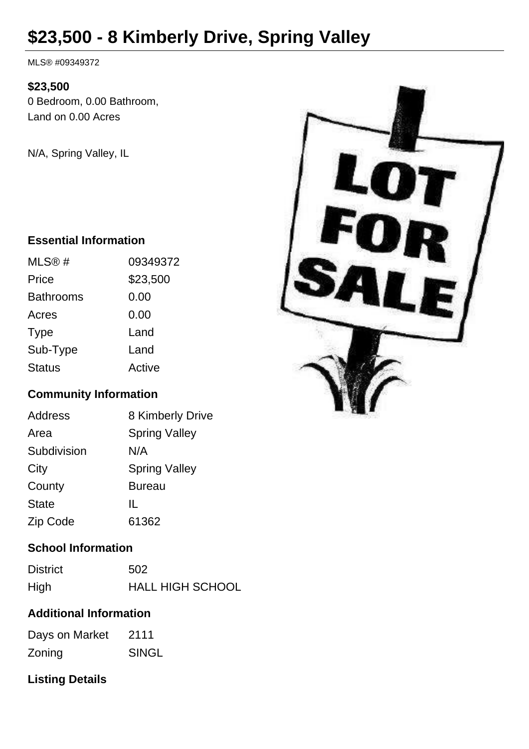# **\$23,500 - 8 Kimberly Drive, Spring Valley**

MLS® #09349372

#### **\$23,500**

0 Bedroom, 0.00 Bathroom, Land on 0.00 Acres

N/A, Spring Valley, IL

### **Essential Information**

| MLS@#            | 09349372 |
|------------------|----------|
| Price            | \$23,500 |
| <b>Bathrooms</b> | 0.00     |
| Acres            | 0.00     |
| <b>Type</b>      | Land     |
| Sub-Type         | Land     |
| <b>Status</b>    | Active   |

### **Community Information**

| <b>Address</b> | 8 Kimberly Drive     |
|----------------|----------------------|
| Area           | <b>Spring Valley</b> |
| Subdivision    | N/A                  |
| City           | <b>Spring Valley</b> |
| County         | <b>Bureau</b>        |
| <b>State</b>   | IL                   |
| Zip Code       | 61362                |

### **School Information**

| <b>District</b> | 502                     |
|-----------------|-------------------------|
| High            | <b>HALL HIGH SCHOOL</b> |

### **Additional Information**

| Days on Market | 2111         |
|----------------|--------------|
| Zoning         | <b>SINGL</b> |

## **Listing Details**